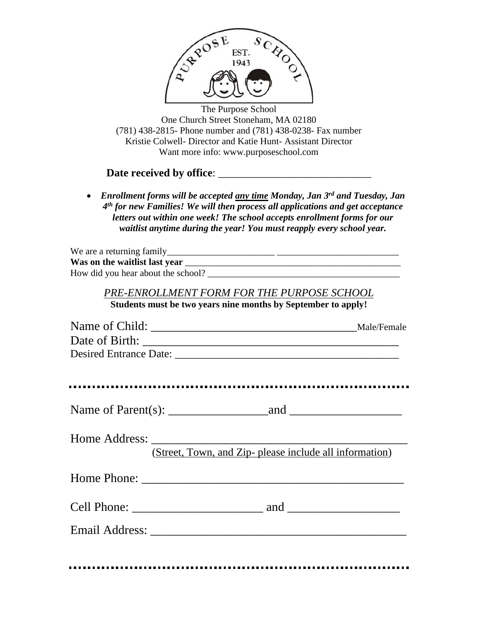

The Purpose School One Church Street Stoneham, MA 02180 (781) 438-2815- Phone number and (781) 438-0238- Fax number Kristie Colwell- Director and Katie Hunt- Assistant Director Want more info: www.purposeschool.com

## **Date received by office**: \_\_\_\_\_\_\_\_\_\_\_\_\_\_\_\_\_\_\_\_\_\_\_\_\_\_\_\_

• *Enrollment forms will be accepted any time Monday, Jan 3 rd and Tuesday, Jan 4 th for new Families! We will then process all applications and get acceptance letters out within one week! The school accepts enrollment forms for our waitlist anytime during the year! You must reapply every school year.* 

| We are a returning family          |  |
|------------------------------------|--|
| Was on the waitlist last year      |  |
| How did you hear about the school? |  |

## *PRE-ENROLLMENT FORM FOR THE PURPOSE SCHOOL*

**Students must be two years nine months by September to apply!**

| (Street, Town, and Zip- please include all information) |
|---------------------------------------------------------|
|                                                         |
|                                                         |
|                                                         |
|                                                         |
|                                                         |